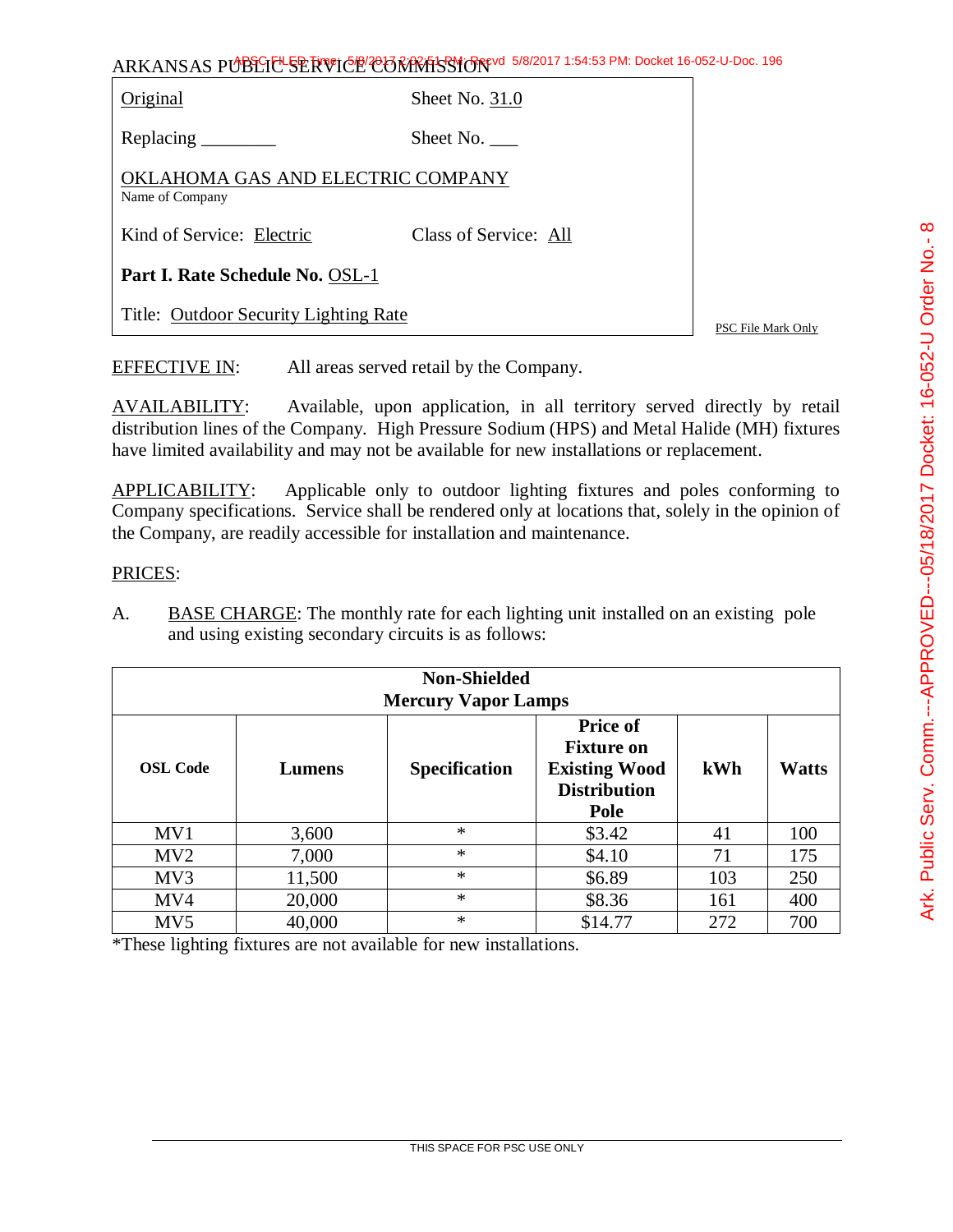Original Sheet No. 31.0

Replacing Sheet No.

OKLAHOMA GAS AND ELECTRIC COMPANY Name of Company

Kind of Service: Electric Class of Service: All

**Part I. Rate Schedule No.** OSL-1

Title: Outdoor Security Lighting Rate

PSC File Mark Only

EFFECTIVE IN: All areas served retail by the Company.

AVAILABILITY: Available, upon application, in all territory served directly by retail distribution lines of the Company. High Pressure Sodium (HPS) and Metal Halide (MH) fixtures have limited availability and may not be available for new installations or replacement.

APPLICABILITY: Applicable only to outdoor lighting fixtures and poles conforming to Company specifications. Service shall be rendered only at locations that, solely in the opinion of the Company, are readily accessible for installation and maintenance.

### PRICES:

A. BASE CHARGE: The monthly rate for each lighting unit installed on an existing pole and using existing secondary circuits is as follows:

|                 | <b>Non-Shielded</b><br><b>Mercury Vapor Lamps</b> |                      |                                                                                             |     |              |
|-----------------|---------------------------------------------------|----------------------|---------------------------------------------------------------------------------------------|-----|--------------|
| <b>OSL Code</b> | Lumens                                            | <b>Specification</b> | <b>Price of</b><br><b>Fixture on</b><br><b>Existing Wood</b><br><b>Distribution</b><br>Pole | kWh | <b>Watts</b> |
| MV <sub>1</sub> | 3,600                                             | $\ast$               | \$3.42                                                                                      | 41  | 100          |
| MV2             | 7,000                                             | $\ast$               | \$4.10                                                                                      | 71  | 175          |
| MV3             | 11,500                                            | $\ast$               | \$6.89                                                                                      | 103 | 250          |
| MV4             | 20,000                                            | $\ast$               | \$8.36                                                                                      | 161 | 400          |
| MV <sub>5</sub> | 40,000                                            | $\ast$               | \$14.77                                                                                     | 272 | 700          |

\*These lighting fixtures are not available for new installations.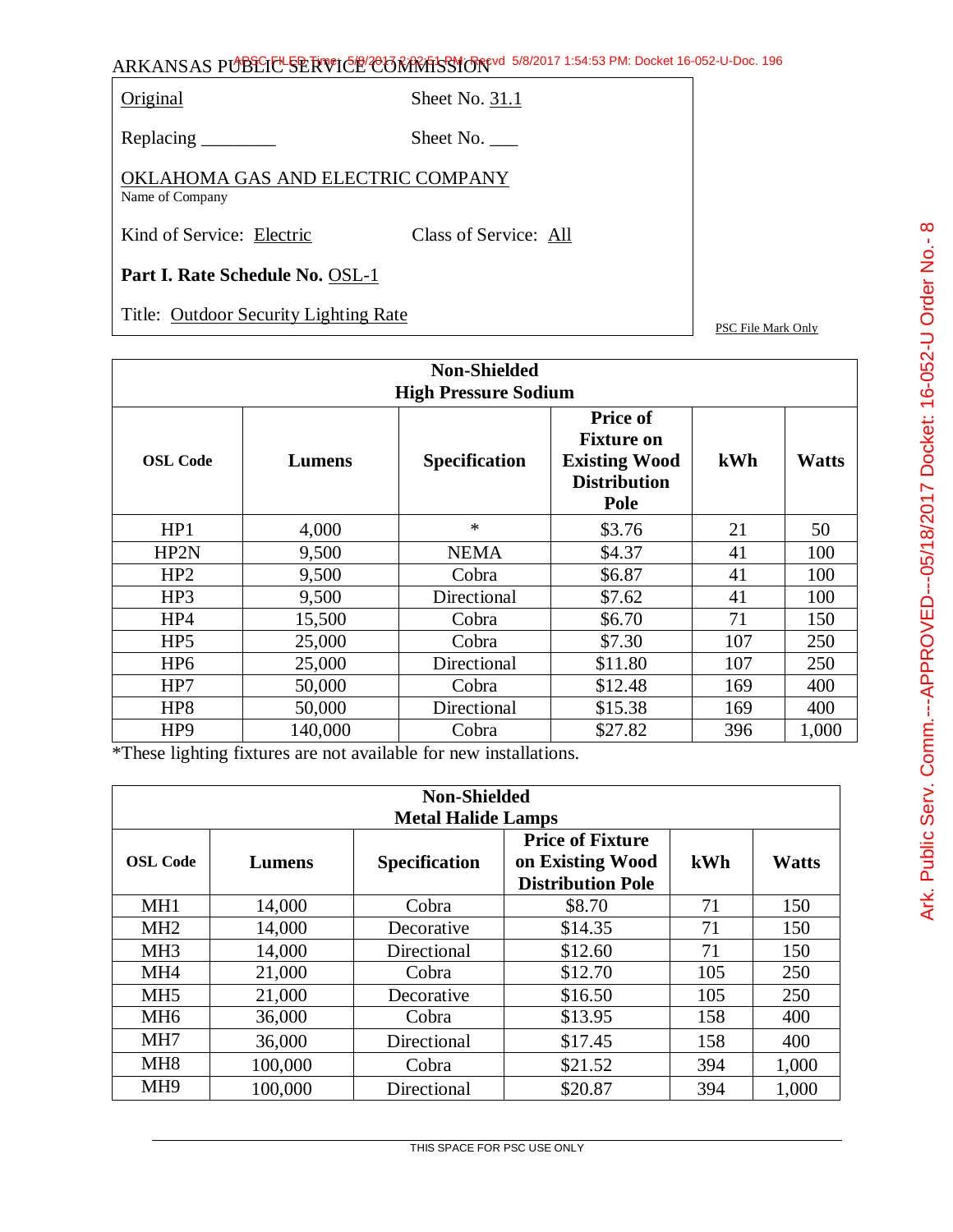Original Sheet No. 31.1

Replacing \_\_\_\_\_\_\_\_\_ Sheet No. \_\_\_

OKLAHOMA GAS AND ELECTRIC COMPANY Name of Company

Kind of Service: Electric Class of Service: All

**Part I. Rate Schedule No.** OSL-1

Title: Outdoor Security Lighting Rate

PSC File Mark Only

|                 | <b>Non-Shielded</b><br><b>High Pressure Sodium</b> |               |                                                                                             |     |              |  |
|-----------------|----------------------------------------------------|---------------|---------------------------------------------------------------------------------------------|-----|--------------|--|
| <b>OSL Code</b> | Lumens                                             | Specification | <b>Price of</b><br><b>Fixture on</b><br><b>Existing Wood</b><br><b>Distribution</b><br>Pole | kWh | <b>Watts</b> |  |
| HP1             | 4,000                                              | $\ast$        | \$3.76                                                                                      | 21  | 50           |  |
| HP2N            | 9,500                                              | <b>NEMA</b>   | \$4.37                                                                                      | 41  | 100          |  |
| HP2             | 9,500                                              | Cobra         | \$6.87                                                                                      | 41  | 100          |  |
| HP3             | 9,500                                              | Directional   | \$7.62                                                                                      | 41  | 100          |  |
| HP4             | 15,500                                             | Cobra         | \$6.70                                                                                      | 71  | 150          |  |
| HP <sub>5</sub> | 25,000                                             | Cobra         | \$7.30                                                                                      | 107 | 250          |  |
| HP <sub>6</sub> | 25,000                                             | Directional   | \$11.80                                                                                     | 107 | 250          |  |
| HP7             | 50,000                                             | Cobra         | \$12.48                                                                                     | 169 | 400          |  |
| HP <sub>8</sub> | 50,000                                             | Directional   | \$15.38                                                                                     | 169 | 400          |  |
| HP <sub>9</sub> | 140,000                                            | Cobra         | \$27.82                                                                                     | 396 | 1,000        |  |

\*These lighting fixtures are not available for new installations.

|                 | <b>Non-Shielded</b><br><b>Metal Halide Lamps</b> |                      |                                                                         |     |              |
|-----------------|--------------------------------------------------|----------------------|-------------------------------------------------------------------------|-----|--------------|
| <b>OSL Code</b> | Lumens                                           | <b>Specification</b> | <b>Price of Fixture</b><br>on Existing Wood<br><b>Distribution Pole</b> | kWh | <b>Watts</b> |
| MH <sub>1</sub> | 14,000                                           | Cobra                | \$8.70                                                                  | 71  | 150          |
| MH <sub>2</sub> | 14,000                                           | Decorative           | \$14.35                                                                 | 71  | 150          |
| MH <sub>3</sub> | 14,000                                           | Directional          | \$12.60                                                                 | 71  | 150          |
| MH <sub>4</sub> | 21,000                                           | Cobra                | \$12.70                                                                 | 105 | 250          |
| MH <sub>5</sub> | 21,000                                           | Decorative           | \$16.50                                                                 | 105 | 250          |
| MH6             | 36,000                                           | Cobra                | \$13.95                                                                 | 158 | 400          |
| MH7             | 36,000                                           | Directional          | \$17.45                                                                 | 158 | 400          |
| MH <sub>8</sub> | 100,000                                          | Cobra                | \$21.52                                                                 | 394 | 1,000        |
| MH <sub>9</sub> | 100,000                                          | Directional          | \$20.87                                                                 | 394 | 1,000        |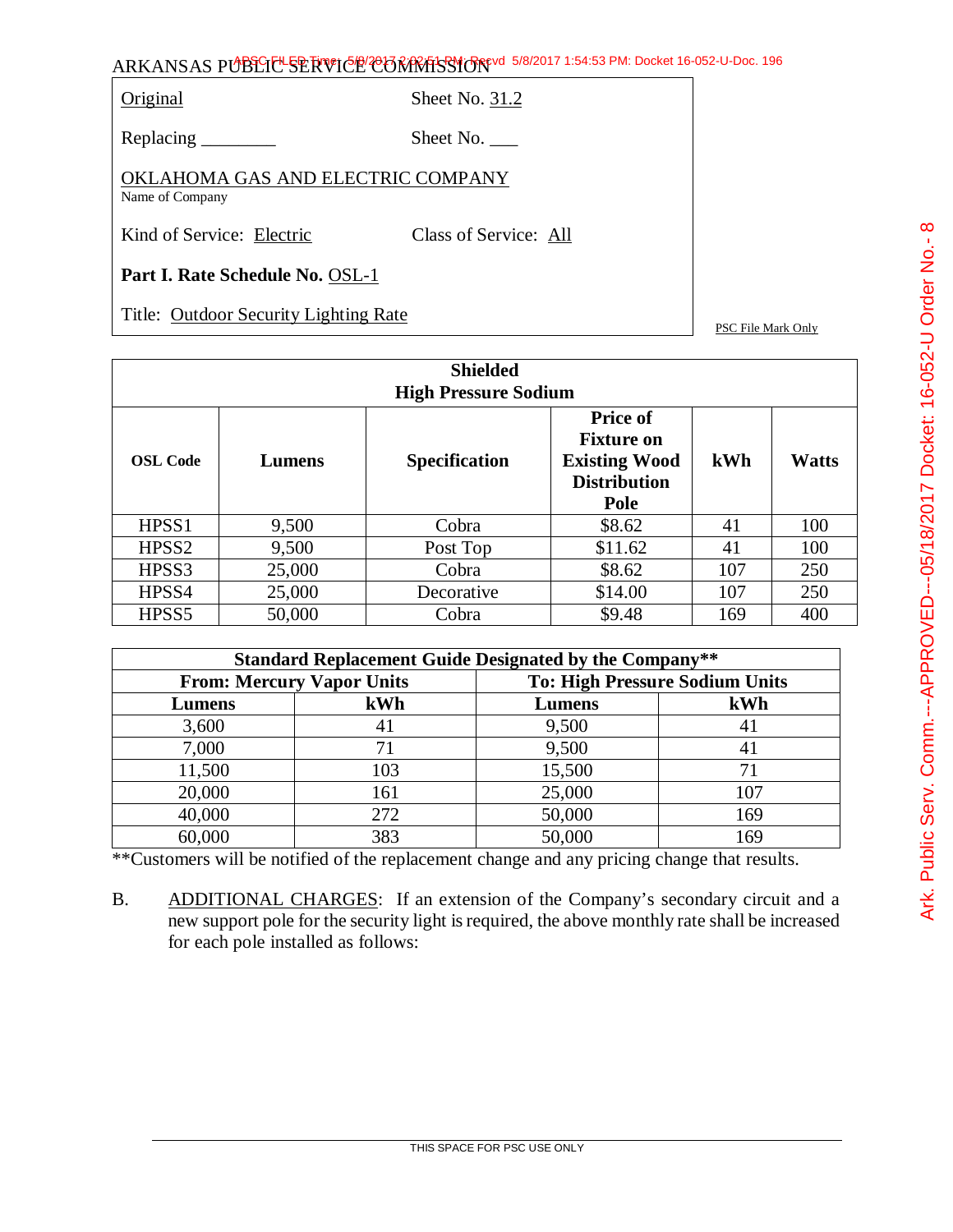Original Sheet No. 31.2

Replacing \_\_\_\_\_\_\_\_\_ Sheet No. \_\_\_

OKLAHOMA GAS AND ELECTRIC COMPANY Name of Company

Kind of Service: Electric Class of Service: All

**Part I. Rate Schedule No.** OSL-1

Title: Outdoor Security Lighting Rate

PSC File Mark Only

| <b>Shielded</b><br><b>High Pressure Sodium</b> |        |                      |                                                                                                    |     |              |
|------------------------------------------------|--------|----------------------|----------------------------------------------------------------------------------------------------|-----|--------------|
| <b>OSL Code</b>                                | Lumens | <b>Specification</b> | <b>Price of</b><br><b>Fixture on</b><br><b>Existing Wood</b><br><b>Distribution</b><br><b>Pole</b> | kWh | <b>Watts</b> |
| HPSS1                                          | 9,500  | Cobra                | \$8.62                                                                                             | 41  | 100          |
| HPSS <sub>2</sub>                              | 9,500  | Post Top             | \$11.62                                                                                            | 41  | 100          |
| HPSS3                                          | 25,000 | Cobra                | \$8.62                                                                                             | 107 | 250          |
| HPSS4                                          | 25,000 | Decorative           | \$14.00                                                                                            | 107 | 250          |
| HPSS <sub>5</sub>                              | 50,000 | Cobra                | \$9.48                                                                                             | 169 | 400          |

|        | <b>Standard Replacement Guide Designated by the Company**</b> |                                       |     |  |  |  |
|--------|---------------------------------------------------------------|---------------------------------------|-----|--|--|--|
|        | <b>From: Mercury Vapor Units</b>                              | <b>To: High Pressure Sodium Units</b> |     |  |  |  |
| Lumens | kWh                                                           | <b>Lumens</b>                         | kWh |  |  |  |
| 3,600  | 41                                                            | 9,500                                 | 41  |  |  |  |
| 7,000  | 71                                                            | 9,500                                 | 41  |  |  |  |
| 11,500 | 103                                                           | 15,500                                |     |  |  |  |
| 20,000 | 161                                                           | 25,000                                | 107 |  |  |  |
| 40,000 | 272                                                           | 50,000                                | 169 |  |  |  |
| 60,000 | 383                                                           | 50,000                                | 169 |  |  |  |

\*\*Customers will be notified of the replacement change and any pricing change that results.

B. ADDITIONAL CHARGES: If an extension of the Company's secondary circuit and a new support pole for the security light is required, the above monthly rate shall be increased for each pole installed as follows: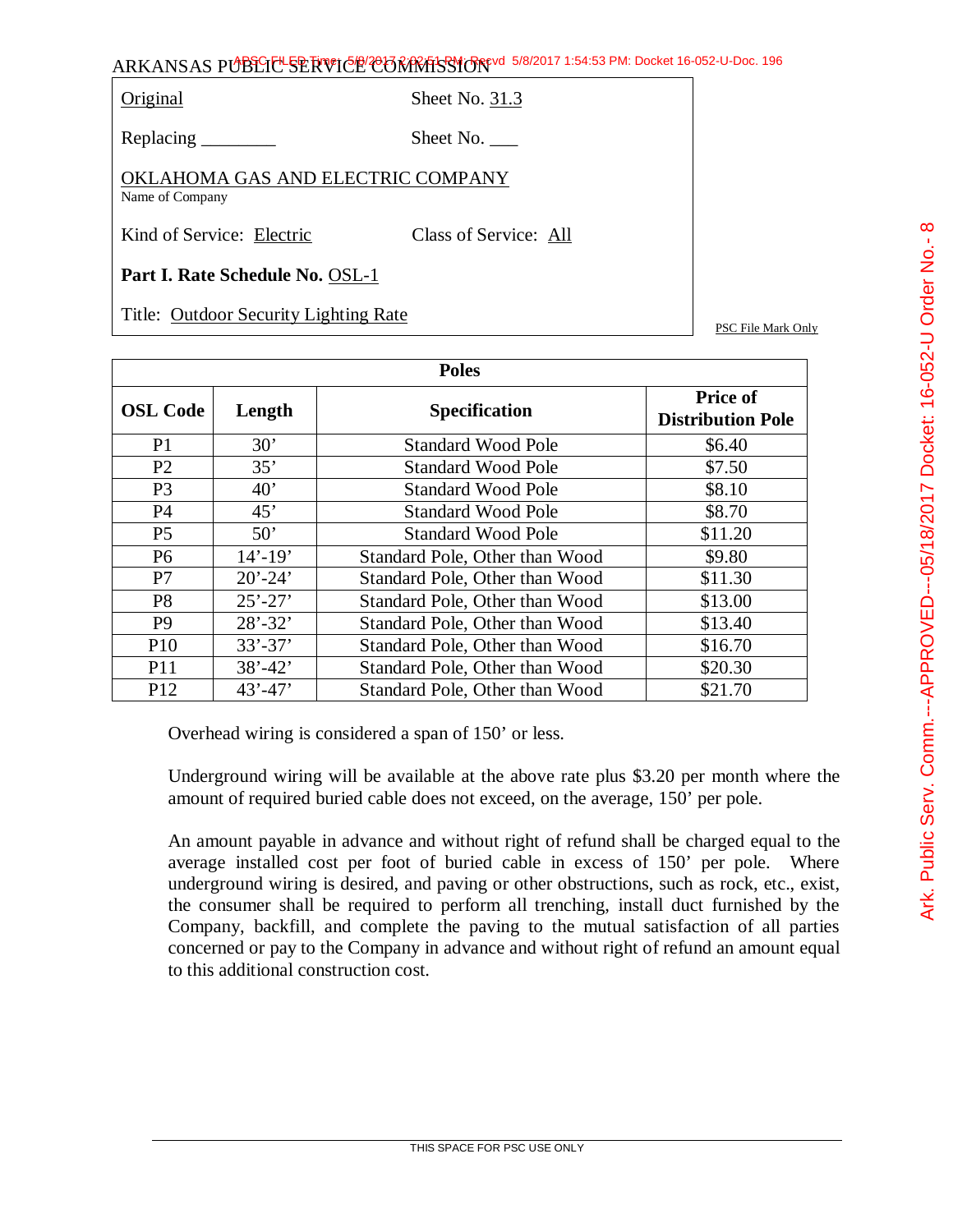Original Sheet No. 31.3

Replacing Sheet No.

OKLAHOMA GAS AND ELECTRIC COMPANY Name of Company

Kind of Service: Electric Class of Service: All

**Part I. Rate Schedule No.** OSL-1

Title: Outdoor Security Lighting Rate

PSC File Mark Only

| <b>Poles</b>    |             |                                |                                             |  |
|-----------------|-------------|--------------------------------|---------------------------------------------|--|
| <b>OSL Code</b> | Length      | <b>Specification</b>           | <b>Price of</b><br><b>Distribution Pole</b> |  |
| P <sub>1</sub>  | 30'         | <b>Standard Wood Pole</b>      | \$6.40                                      |  |
| P <sub>2</sub>  | 35'         | <b>Standard Wood Pole</b>      | \$7.50                                      |  |
| P <sub>3</sub>  | 40'         | <b>Standard Wood Pole</b>      | \$8.10                                      |  |
| <b>P4</b>       | 45'         | <b>Standard Wood Pole</b>      | \$8.70                                      |  |
| P <sub>5</sub>  | 50'         | <b>Standard Wood Pole</b>      | \$11.20                                     |  |
| P <sub>6</sub>  | $14' - 19'$ | Standard Pole, Other than Wood | \$9.80                                      |  |
| P7              | $20' - 24'$ | Standard Pole, Other than Wood | \$11.30                                     |  |
| P <sub>8</sub>  | $25' - 27'$ | Standard Pole, Other than Wood | \$13.00                                     |  |
| P <sub>9</sub>  | $28' - 32'$ | Standard Pole, Other than Wood | \$13.40                                     |  |
| P <sub>10</sub> | $33' - 37'$ | Standard Pole, Other than Wood | \$16.70                                     |  |
| <b>P11</b>      | $38' - 42'$ | Standard Pole, Other than Wood | \$20.30                                     |  |
| P <sub>12</sub> | $43' - 47'$ | Standard Pole, Other than Wood | \$21.70                                     |  |

Overhead wiring is considered a span of 150' or less.

Underground wiring will be available at the above rate plus \$3.20 per month where the amount of required buried cable does not exceed, on the average, 150' per pole.

An amount payable in advance and without right of refund shall be charged equal to the average installed cost per foot of buried cable in excess of 150' per pole. Where underground wiring is desired, and paving or other obstructions, such as rock, etc., exist, the consumer shall be required to perform all trenching, install duct furnished by the Company, backfill, and complete the paving to the mutual satisfaction of all parties concerned or pay to the Company in advance and without right of refund an amount equal to this additional construction cost.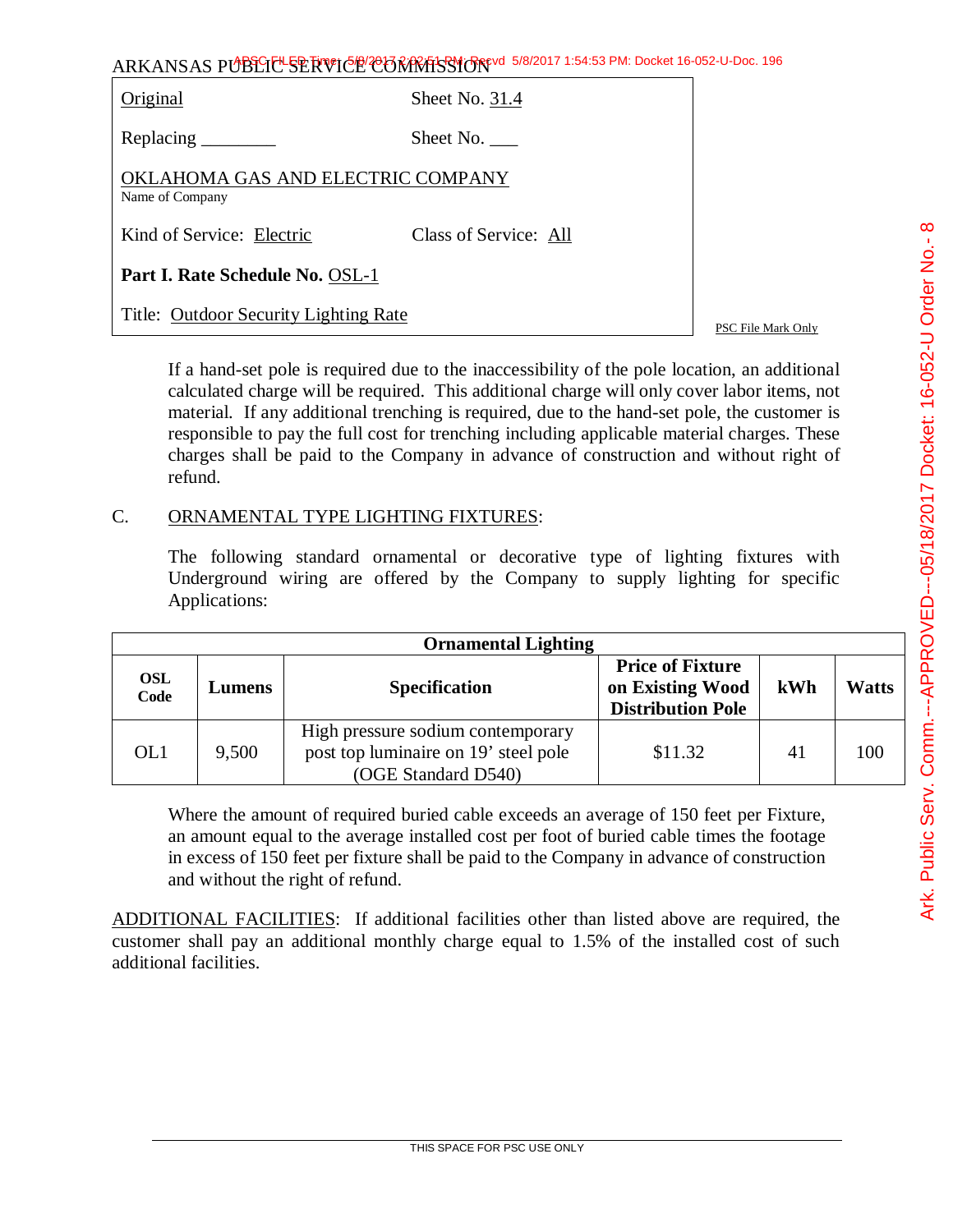| ARKANSAS PUBLIC SERVICE CONTRASSION 5/8/2017 1:54:53 PM: Docket 16-052-U-Doc. 196 |  |
|-----------------------------------------------------------------------------------|--|
|-----------------------------------------------------------------------------------|--|

| Original                                             | Sheet No. 31.4        |                    |
|------------------------------------------------------|-----------------------|--------------------|
|                                                      | Sheet No.             |                    |
| OKLAHOMA GAS AND ELECTRIC COMPANY<br>Name of Company |                       |                    |
| Kind of Service: Electric                            | Class of Service: All |                    |
| Part I. Rate Schedule No. OSL-1                      |                       |                    |
| Title: Outdoor Security Lighting Rate                |                       | PSC File Mark Only |

If a hand-set pole is required due to the inaccessibility of the pole location, an additional calculated charge will be required. This additional charge will only cover labor items, not material. If any additional trenching is required, due to the hand-set pole, the customer is responsible to pay the full cost for trenching including applicable material charges. These charges shall be paid to the Company in advance of construction and without right of refund.

### C. ORNAMENTAL TYPE LIGHTING FIXTURES:

The following standard ornamental or decorative type of lighting fixtures with Underground wiring are offered by the Company to supply lighting for specific Applications:

|                    | <b>Ornamental Lighting</b> |                                                                                                  |                                                                         |     |              |  |
|--------------------|----------------------------|--------------------------------------------------------------------------------------------------|-------------------------------------------------------------------------|-----|--------------|--|
| <b>OSL</b><br>Code | Lumens                     | <b>Specification</b>                                                                             | <b>Price of Fixture</b><br>on Existing Wood<br><b>Distribution Pole</b> | kWh | <b>Watts</b> |  |
| OL1                | 9,500                      | High pressure sodium contemporary<br>post top luminaire on 19' steel pole<br>(OGE Standard D540) | \$11.32                                                                 | 41  | 100          |  |

Where the amount of required buried cable exceeds an average of 150 feet per Fixture, an amount equal to the average installed cost per foot of buried cable times the footage in excess of 150 feet per fixture shall be paid to the Company in advance of construction and without the right of refund.

ADDITIONAL FACILITIES: If additional facilities other than listed above are required, the customer shall pay an additional monthly charge equal to 1.5% of the installed cost of such additional facilities.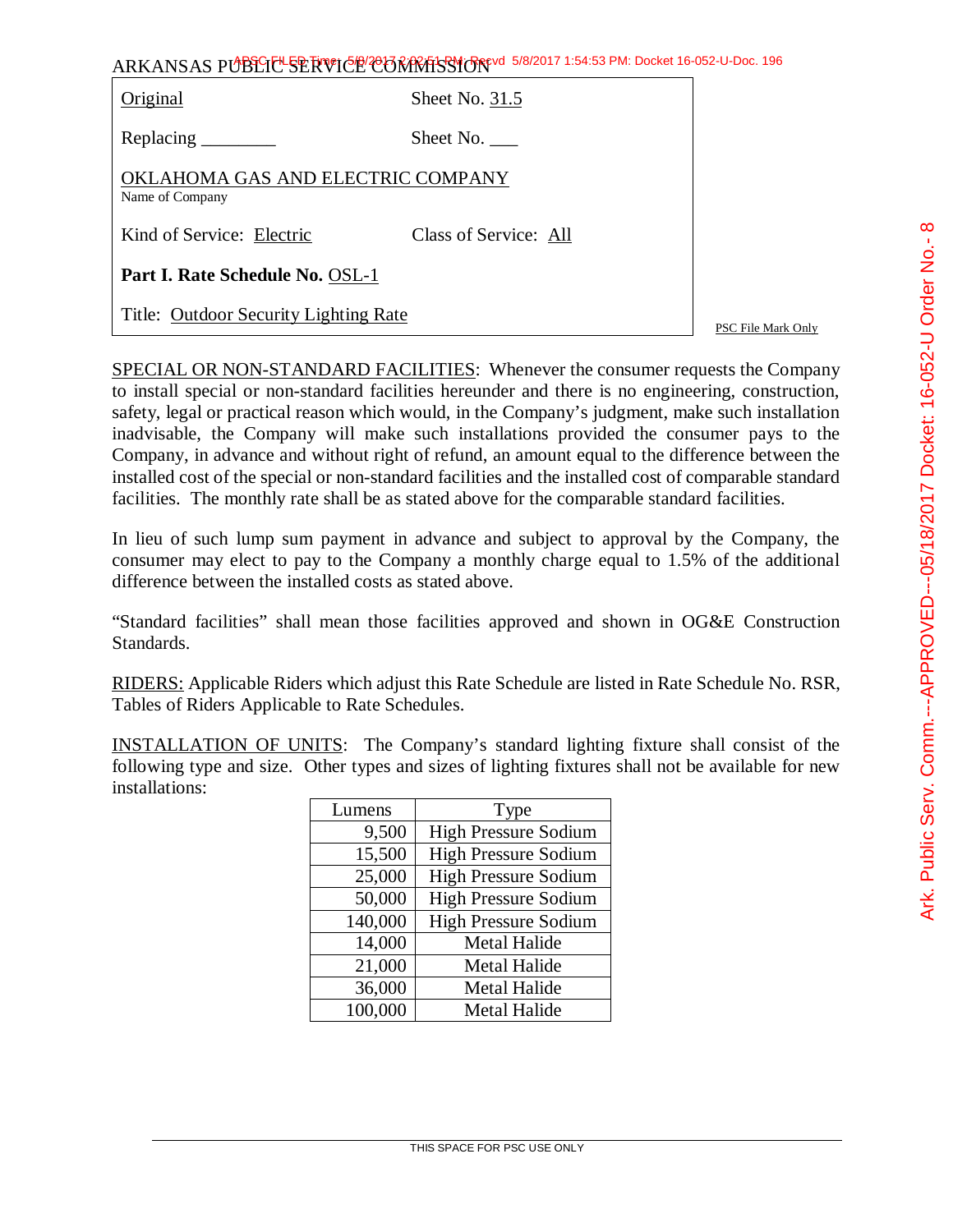| ARKANSAS PUBLICE SERVICE CORRATSSION 5/8/2017 1:54:53 PM: Docket 16-052-U-Doc. 196 |  |
|------------------------------------------------------------------------------------|--|
|                                                                                    |  |

| Original                                             | Sheet No. 31.5        |
|------------------------------------------------------|-----------------------|
|                                                      | Sheet No. $\_\_$      |
| OKLAHOMA GAS AND ELECTRIC COMPANY<br>Name of Company |                       |
| Kind of Service: Electric                            | Class of Service: All |
| Part I. Rate Schedule No. OSL-1                      |                       |
| Title: Outdoor Security Lighting Rate                |                       |

PSC File Mark Only

SPECIAL OR NON-STANDARD FACILITIES: Whenever the consumer requests the Company to install special or non-standard facilities hereunder and there is no engineering, construction, safety, legal or practical reason which would, in the Company's judgment, make such installation inadvisable, the Company will make such installations provided the consumer pays to the Company, in advance and without right of refund, an amount equal to the difference between the installed cost of the special or non-standard facilities and the installed cost of comparable standard facilities. The monthly rate shall be as stated above for the comparable standard facilities.

In lieu of such lump sum payment in advance and subject to approval by the Company, the consumer may elect to pay to the Company a monthly charge equal to 1.5% of the additional difference between the installed costs as stated above.

"Standard facilities" shall mean those facilities approved and shown in OG&E Construction Standards.

RIDERS: Applicable Riders which adjust this Rate Schedule are listed in Rate Schedule No. RSR, Tables of Riders Applicable to Rate Schedules.

INSTALLATION OF UNITS: The Company's standard lighting fixture shall consist of the following type and size. Other types and sizes of lighting fixtures shall not be available for new installations:

| Lumens  | Type                        |
|---------|-----------------------------|
| 9,500   | <b>High Pressure Sodium</b> |
| 15,500  | <b>High Pressure Sodium</b> |
| 25,000  | <b>High Pressure Sodium</b> |
| 50,000  | <b>High Pressure Sodium</b> |
| 140,000 | <b>High Pressure Sodium</b> |
| 14,000  | Metal Halide                |
| 21,000  | <b>Metal Halide</b>         |
| 36,000  | <b>Metal Halide</b>         |
| 100,000 | <b>Metal Halide</b>         |

 $\infty$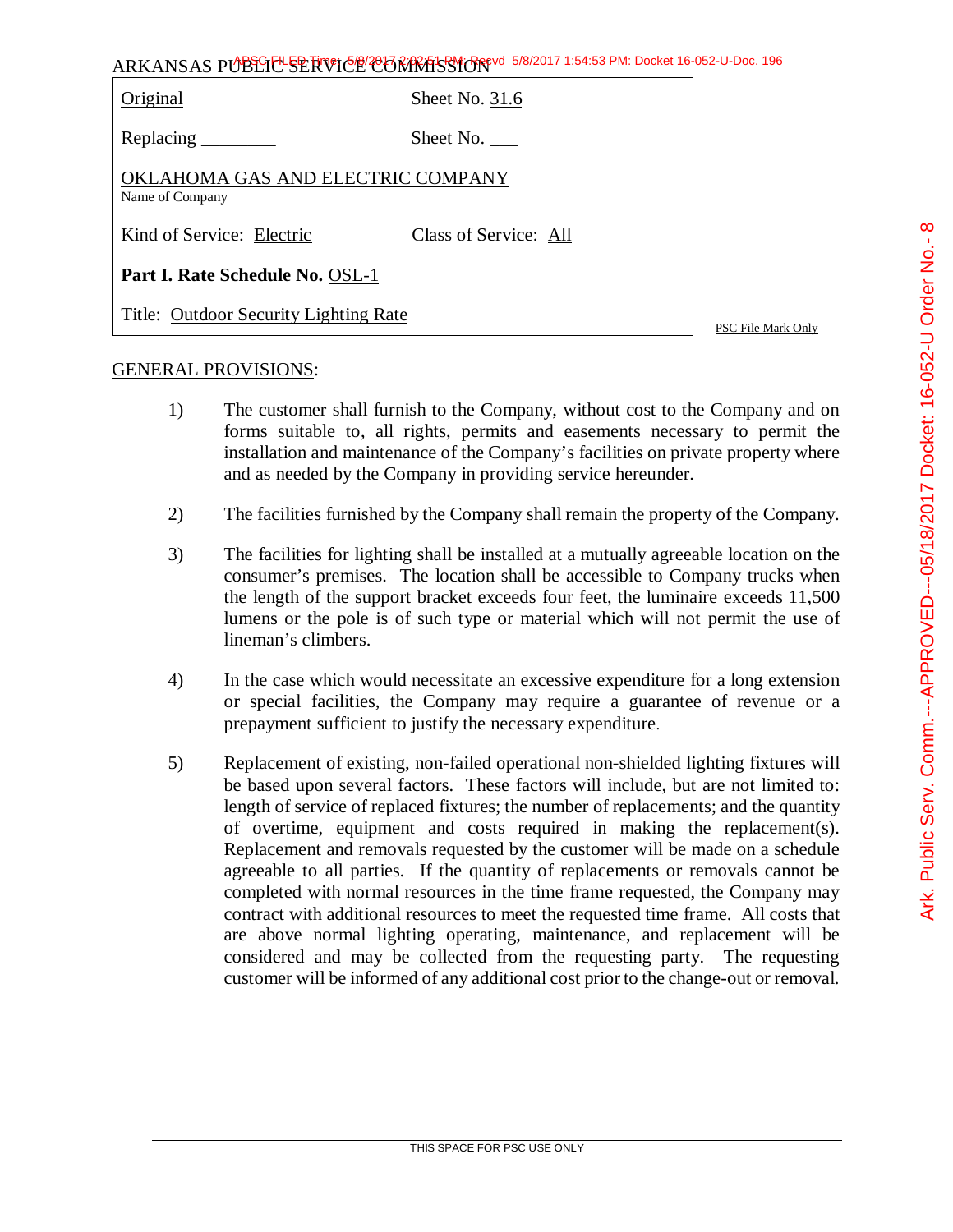| ARKANSAS PUBLICLSERVICE CONRESSION 5/8/2017 1:54:53 PM: Docket 16-052-U-Doc. 196 |                       |                    |  |
|----------------------------------------------------------------------------------|-----------------------|--------------------|--|
| Original                                                                         | Sheet No. 31.6        |                    |  |
| Replacing _________                                                              | Sheet No. $\_\_$      |                    |  |
| OKLAHOMA GAS AND ELECTRIC COMPANY<br>Name of Company                             |                       |                    |  |
| Kind of Service: Electric                                                        | Class of Service: All |                    |  |
| Part I. Rate Schedule No. OSL-1                                                  |                       |                    |  |
| Title: Outdoor Security Lighting Rate                                            |                       | PSC File Mark Only |  |

### GENERAL PROVISIONS:

- 1) The customer shall furnish to the Company, without cost to the Company and on forms suitable to, all rights, permits and easements necessary to permit the installation and maintenance of the Company's facilities on private property where and as needed by the Company in providing service hereunder.
- 2) The facilities furnished by the Company shall remain the property of the Company.
- 3) The facilities for lighting shall be installed at a mutually agreeable location on the consumer's premises. The location shall be accessible to Company trucks when the length of the support bracket exceeds four feet, the luminaire exceeds 11,500 lumens or the pole is of such type or material which will not permit the use of lineman's climbers.
- 4) In the case which would necessitate an excessive expenditure for a long extension or special facilities, the Company may require a guarantee of revenue or a prepayment sufficient to justify the necessary expenditure.
- 5) Replacement of existing, non-failed operational non-shielded lighting fixtures will be based upon several factors. These factors will include, but are not limited to: length of service of replaced fixtures; the number of replacements; and the quantity of overtime, equipment and costs required in making the replacement(s). Replacement and removals requested by the customer will be made on a schedule agreeable to all parties. If the quantity of replacements or removals cannot be completed with normal resources in the time frame requested, the Company may contract with additional resources to meet the requested time frame. All costs that are above normal lighting operating, maintenance, and replacement will be considered and may be collected from the requesting party. The requesting customer will be informed of any additional cost prior to the change-out or removal.